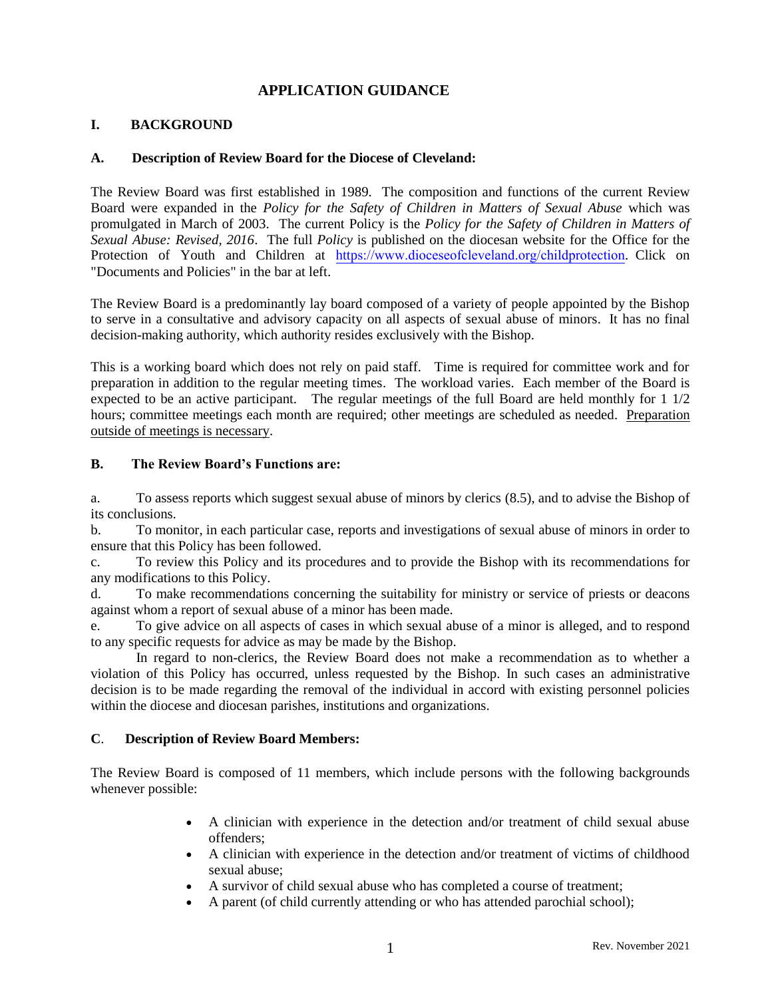# **APPLICATION GUIDANCE**

## **I. BACKGROUND**

### **A. Description of Review Board for the Diocese of Cleveland:**

The Review Board was first established in 1989. The composition and functions of the current Review Board were expanded in the *Policy for the Safety of Children in Matters of Sexual Abuse* which was promulgated in March of 2003. The current Policy is the *Policy for the Safety of Children in Matters of Sexual Abuse: Revised, 2016*. The full *Policy* is published on the diocesan website for the Office for the Protection of Youth and Children at https://www.dioceseofcleveland.org/childprotection. Click on "Documents and Policies" in the bar at left.

The Review Board is a predominantly lay board composed of a variety of people appointed by the Bishop to serve in a consultative and advisory capacity on all aspects of sexual abuse of minors. It has no final decision-making authority, which authority resides exclusively with the Bishop.

This is a working board which does not rely on paid staff. Time is required for committee work and for preparation in addition to the regular meeting times. The workload varies. Each member of the Board is expected to be an active participant. The regular meetings of the full Board are held monthly for 1 1/2 hours; committee meetings each month are required; other meetings are scheduled as needed. Preparation outside of meetings is necessary.

#### **B. The Review Board's Functions are:**

a. To assess reports which suggest sexual abuse of minors by clerics (8.5), and to advise the Bishop of its conclusions.

b. To monitor, in each particular case, reports and investigations of sexual abuse of minors in order to ensure that this Policy has been followed.

c. To review this Policy and its procedures and to provide the Bishop with its recommendations for any modifications to this Policy.

d. To make recommendations concerning the suitability for ministry or service of priests or deacons against whom a report of sexual abuse of a minor has been made.

e. To give advice on all aspects of cases in which sexual abuse of a minor is alleged, and to respond to any specific requests for advice as may be made by the Bishop.

In regard to non-clerics, the Review Board does not make a recommendation as to whether a violation of this Policy has occurred, unless requested by the Bishop. In such cases an administrative decision is to be made regarding the removal of the individual in accord with existing personnel policies within the diocese and diocesan parishes, institutions and organizations.

#### **C**. **Description of Review Board Members:**

The Review Board is composed of 11 members, which include persons with the following backgrounds whenever possible:

- A clinician with experience in the detection and/or treatment of child sexual abuse offenders;
- A clinician with experience in the detection and/or treatment of victims of childhood sexual abuse;
- A survivor of child sexual abuse who has completed a course of treatment;
- A parent (of child currently attending or who has attended parochial school);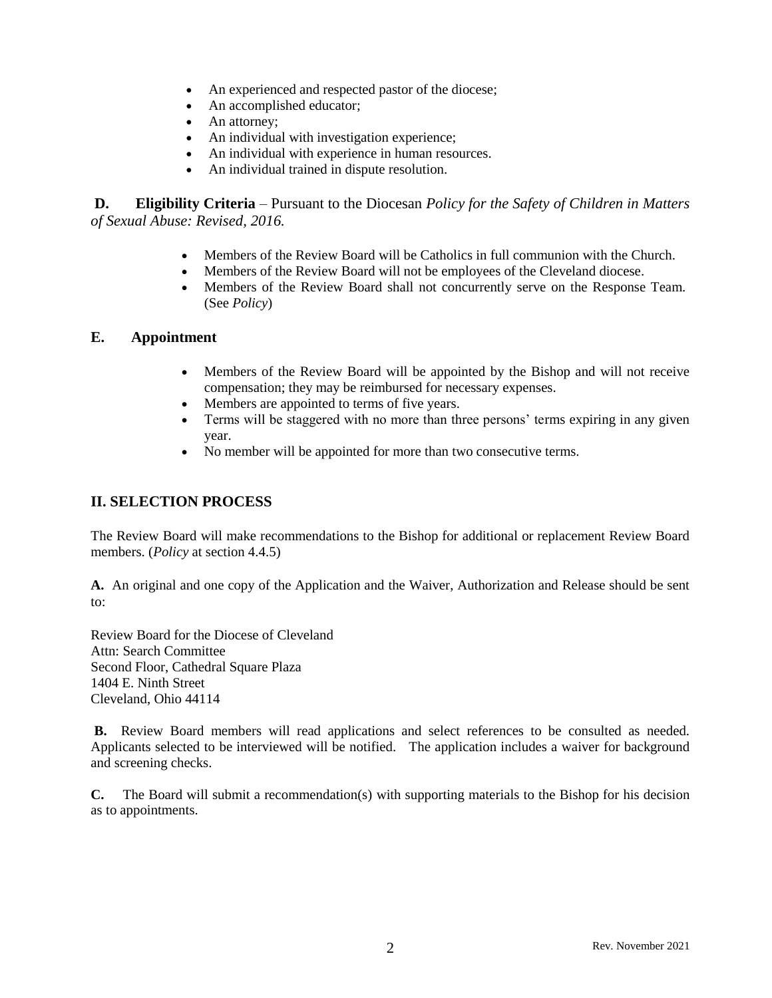- An experienced and respected pastor of the diocese;
- An accomplished educator;
- An attorney;
- An individual with investigation experience;
- An individual with experience in human resources.
- An individual trained in dispute resolution.

**D. Eligibility Criteria** – Pursuant to the Diocesan *Policy for the Safety of Children in Matters of Sexual Abuse: Revised, 2016.*

- Members of the Review Board will be Catholics in full communion with the Church.
- Members of the Review Board will not be employees of the Cleveland diocese.
- Members of the Review Board shall not concurrently serve on the Response Team. (See *Policy*)

## **E. Appointment**

- Members of the Review Board will be appointed by the Bishop and will not receive compensation; they may be reimbursed for necessary expenses.
- Members are appointed to terms of five years.
- Terms will be staggered with no more than three persons' terms expiring in any given year.
- No member will be appointed for more than two consecutive terms.

# **II. SELECTION PROCESS**

The Review Board will make recommendations to the Bishop for additional or replacement Review Board members. (*Policy* at section 4.4.5)

**A.** An original and one copy of the Application and the Waiver, Authorization and Release should be sent to:

Review Board for the Diocese of Cleveland Attn: Search Committee Second Floor, Cathedral Square Plaza 1404 E. Ninth Street Cleveland, Ohio 44114

**B.** Review Board members will read applications and select references to be consulted as needed. Applicants selected to be interviewed will be notified. The application includes a waiver for background and screening checks.

**C.** The Board will submit a recommendation(s) with supporting materials to the Bishop for his decision as to appointments.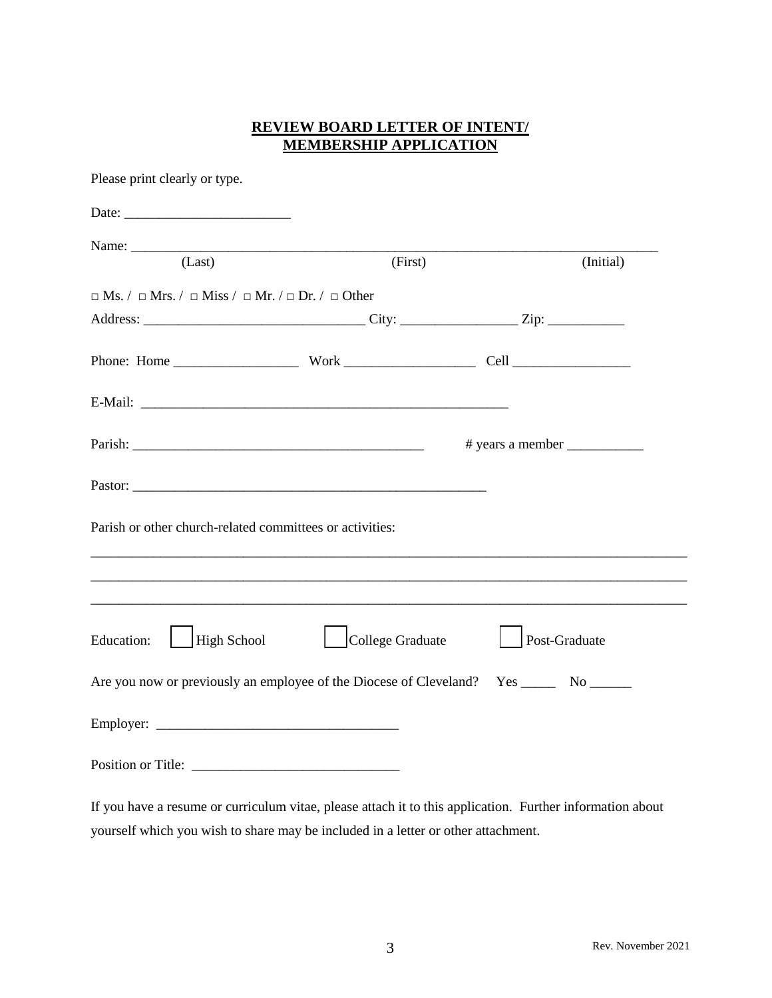# **REVIEW BOARD LETTER OF INTENT/ MEMBERSHIP APPLICATION**

| Please print clearly or type.                                                              |                         |               |           |
|--------------------------------------------------------------------------------------------|-------------------------|---------------|-----------|
|                                                                                            |                         |               |           |
| (Last)                                                                                     | (First)                 |               | (Initial) |
| $\Box$ Ms. / $\Box$ Mrs. / $\Box$ Miss / $\Box$ Mr. / $\Box$ Dr. / $\Box$ Other            |                         |               |           |
|                                                                                            |                         |               |           |
|                                                                                            |                         |               |           |
|                                                                                            |                         |               |           |
|                                                                                            |                         |               |           |
|                                                                                            |                         |               |           |
| Parish or other church-related committees or activities:                                   |                         |               |           |
|                                                                                            |                         |               |           |
| <b>Education:</b><br>High School                                                           | <b>College Graduate</b> | Post-Graduate |           |
| Are you now or previously an employee of the Diocese of Cleveland? Yes ________ No _______ |                         |               |           |
|                                                                                            |                         |               |           |
|                                                                                            |                         |               |           |

If you have a resume or curriculum vitae, please attach it to this application. Further information about yourself which you wish to share may be included in a letter or other attachment.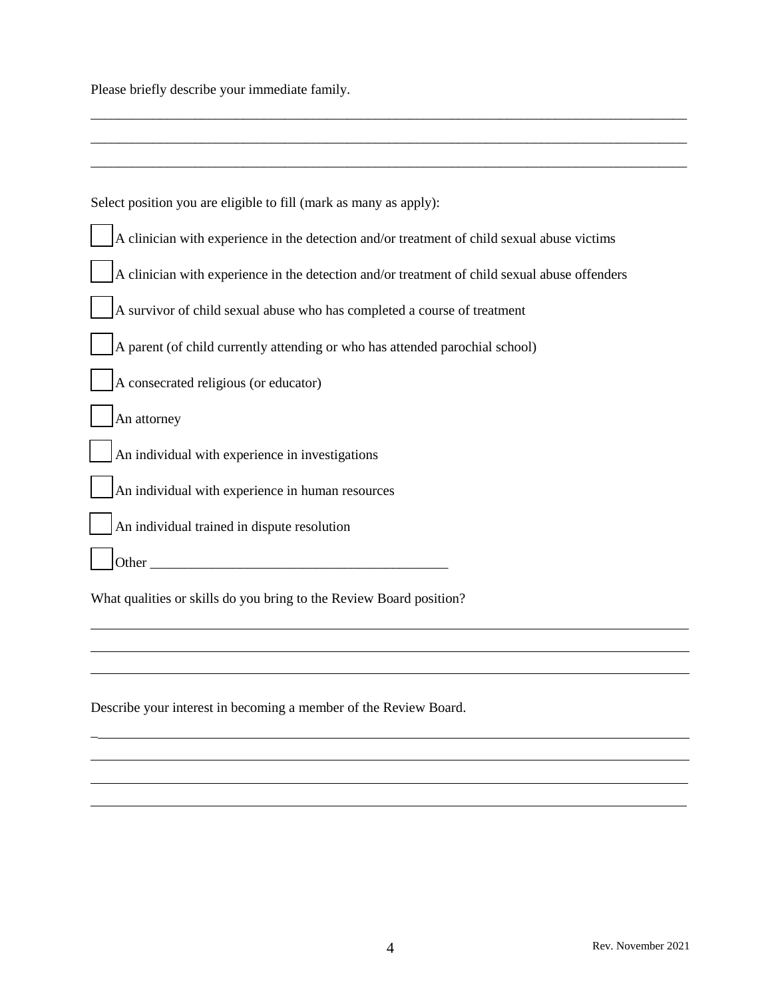Please briefly describe your immediate family.

l l

| Select position you are eligible to fill (mark as many as apply):                                                                                                                                                                   |
|-------------------------------------------------------------------------------------------------------------------------------------------------------------------------------------------------------------------------------------|
| A clinician with experience in the detection and/or treatment of child sexual abuse victims                                                                                                                                         |
| A clinician with experience in the detection and/or treatment of child sexual abuse offenders                                                                                                                                       |
| A survivor of child sexual abuse who has completed a course of treatment                                                                                                                                                            |
| A parent (of child currently attending or who has attended parochial school)                                                                                                                                                        |
| A consecrated religious (or educator)                                                                                                                                                                                               |
| An attorney                                                                                                                                                                                                                         |
| An individual with experience in investigations                                                                                                                                                                                     |
| An individual with experience in human resources                                                                                                                                                                                    |
| An individual trained in dispute resolution                                                                                                                                                                                         |
| <b>Other</b> contains the contact of the contact of the contact of the contact of the contact of the contact of the contact of the contact of the contact of the contact of the contact of the contact of the contact of the contac |
| What qualities or skills do you bring to the Review Board position?                                                                                                                                                                 |
|                                                                                                                                                                                                                                     |
|                                                                                                                                                                                                                                     |
| Describe your interest in becoming a member of the Review Board.                                                                                                                                                                    |
|                                                                                                                                                                                                                                     |

\_\_\_\_\_\_\_\_\_\_\_\_\_\_\_\_\_\_\_\_\_\_\_\_\_\_\_\_\_\_\_\_\_\_\_\_\_\_\_\_\_\_\_\_\_\_\_\_\_\_\_\_\_\_\_\_\_\_\_\_\_\_\_\_\_\_\_\_\_\_\_\_\_\_\_\_\_\_\_\_\_\_\_\_\_\_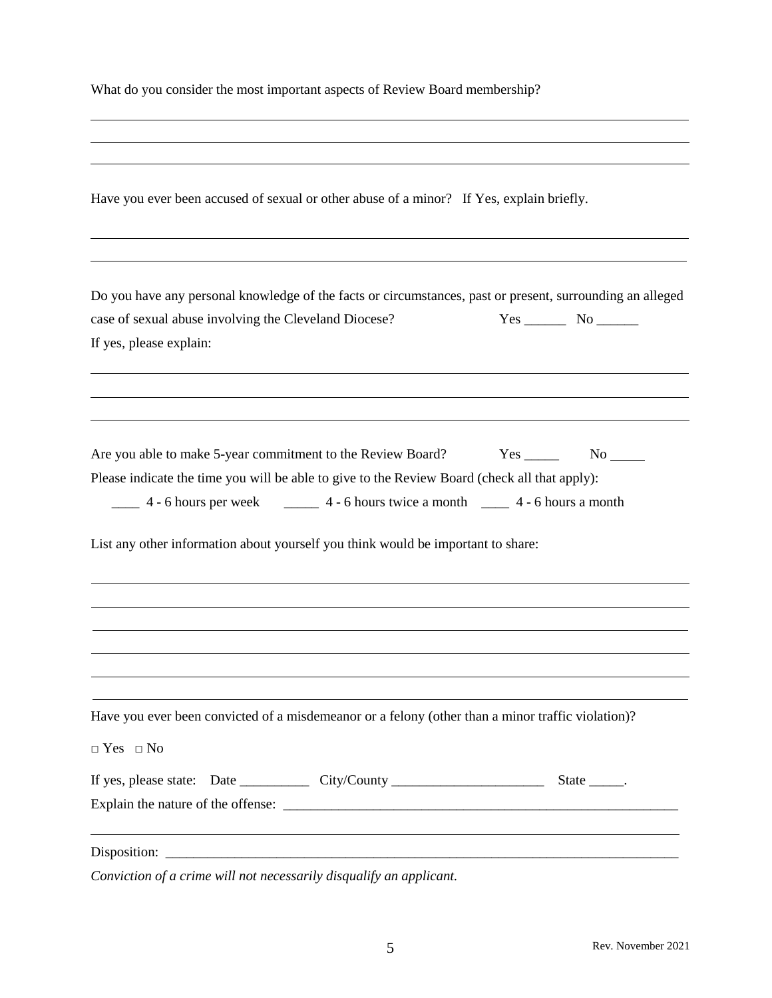|  |  | What do you consider the most important aspects of Review Board membership? |
|--|--|-----------------------------------------------------------------------------|
|  |  |                                                                             |

l

| Have you ever been accused of sexual or other abuse of a minor? If Yes, explain briefly.                                                                                                                                                         |                     |  |  |  |
|--------------------------------------------------------------------------------------------------------------------------------------------------------------------------------------------------------------------------------------------------|---------------------|--|--|--|
| Do you have any personal knowledge of the facts or circumstances, past or present, surrounding an alleged<br>case of sexual abuse involving the Cleveland Diocese?<br>If yes, please explain:                                                    |                     |  |  |  |
|                                                                                                                                                                                                                                                  |                     |  |  |  |
| Are you able to make 5-year commitment to the Review Board?<br>Please indicate the time you will be able to give to the Review Board (check all that apply):<br>List any other information about yourself you think would be important to share: | Yes No              |  |  |  |
|                                                                                                                                                                                                                                                  |                     |  |  |  |
| Have you ever been convicted of a misdemeanor or a felony (other than a minor traffic violation)?<br>$\Box$ Yes $\Box$ No                                                                                                                        |                     |  |  |  |
|                                                                                                                                                                                                                                                  | State $\_\_\_\_\$ . |  |  |  |
| ,我们也不会有什么。""我们的人,我们也不会有什么?""我们的人,我们也不会有什么?""我们的人,我们也不会有什么?""我们的人,我们也不会有什么?""我们的人                                                                                                                                                                 |                     |  |  |  |
| Conviction of a crime will not necessarily disqualify an applicant.                                                                                                                                                                              |                     |  |  |  |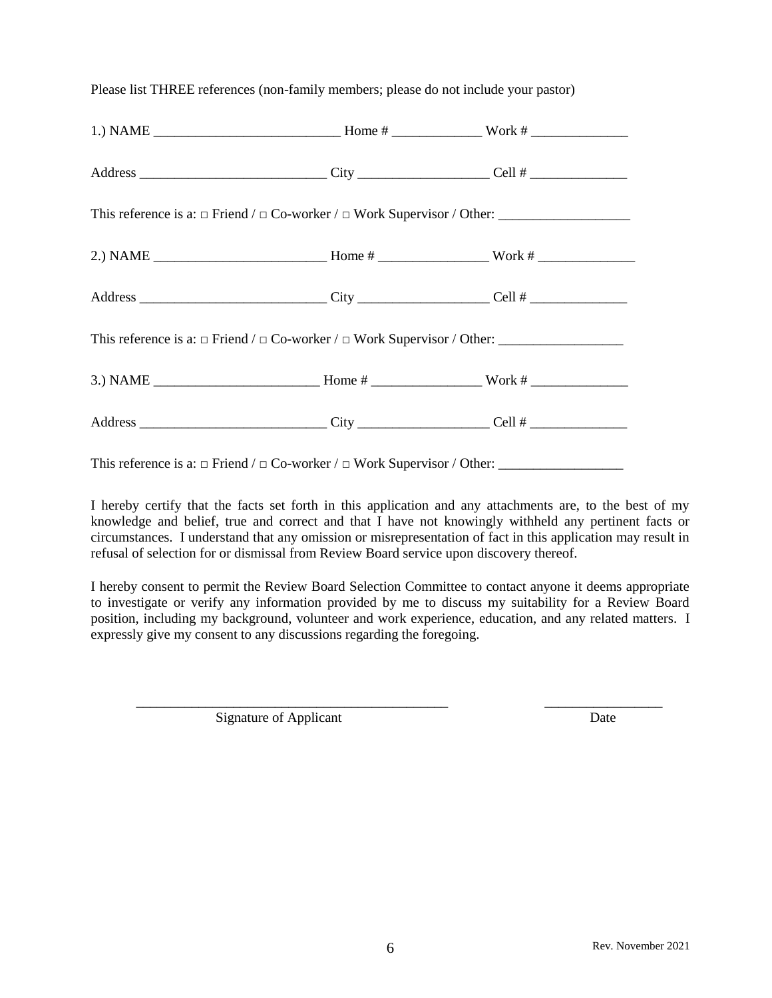Please list THREE references (non-family members; please do not include your pastor)

This reference is a:  $\Box$  Friend /  $\Box$  Co-worker /  $\Box$  Work Supervisor / Other:

I hereby certify that the facts set forth in this application and any attachments are, to the best of my knowledge and belief, true and correct and that I have not knowingly withheld any pertinent facts or circumstances. I understand that any omission or misrepresentation of fact in this application may result in refusal of selection for or dismissal from Review Board service upon discovery thereof.

I hereby consent to permit the Review Board Selection Committee to contact anyone it deems appropriate to investigate or verify any information provided by me to discuss my suitability for a Review Board position, including my background, volunteer and work experience, education, and any related matters. I expressly give my consent to any discussions regarding the foregoing.

\_\_\_\_\_\_\_\_\_\_\_\_\_\_\_\_\_\_\_\_\_\_\_\_\_\_\_\_\_\_\_\_\_\_\_\_\_\_\_\_\_\_\_\_\_ \_\_\_\_\_\_\_\_\_\_\_\_\_\_\_\_\_

Signature of Applicant Date